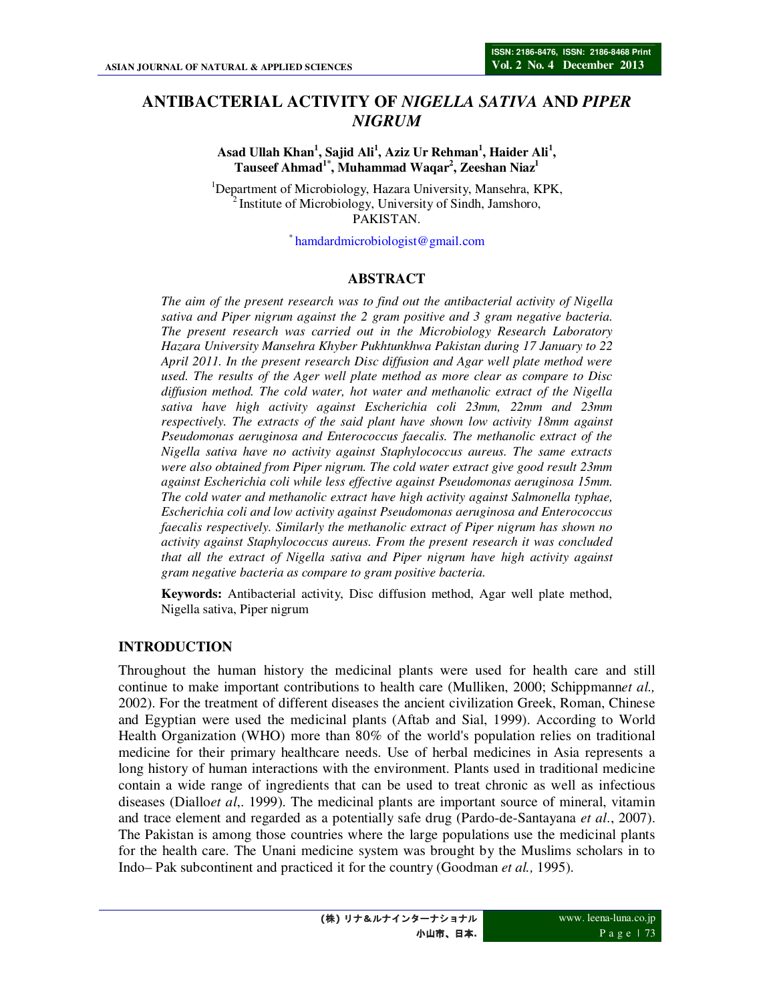# **ANTIBACTERIAL ACTIVITY OF** *NIGELLA SATIVA* **AND** *PIPER NIGRUM*

**Asad Ullah Khan<sup>1</sup> , Sajid Ali<sup>1</sup> , Aziz Ur Rehman<sup>1</sup> , Haider Ali<sup>1</sup> , Tauseef Ahmad1\*, Muhammad Waqar<sup>2</sup> , Zeeshan Niaz<sup>1</sup>**

<sup>1</sup>Department of Microbiology, Hazara University, Mansehra, KPK, <sup>2</sup>Institute of Microbiology, University of Sindh, Jamshoro, PAKISTAN.

\* hamdardmicrobiologist@gmail.com

#### **ABSTRACT**

*The aim of the present research was to find out the antibacterial activity of Nigella sativa and Piper nigrum against the 2 gram positive and 3 gram negative bacteria. The present research was carried out in the Microbiology Research Laboratory Hazara University Mansehra Khyber Pukhtunkhwa Pakistan during 17 January to 22 April 2011. In the present research Disc diffusion and Agar well plate method were used. The results of the Ager well plate method as more clear as compare to Disc diffusion method. The cold water, hot water and methanolic extract of the Nigella sativa have high activity against Escherichia coli 23mm, 22mm and 23mm respectively. The extracts of the said plant have shown low activity 18mm against Pseudomonas aeruginosa and Enterococcus faecalis. The methanolic extract of the Nigella sativa have no activity against Staphylococcus aureus. The same extracts were also obtained from Piper nigrum. The cold water extract give good result 23mm against Escherichia coli while less effective against Pseudomonas aeruginosa 15mm. The cold water and methanolic extract have high activity against Salmonella typhae, Escherichia coli and low activity against Pseudomonas aeruginosa and Enterococcus faecalis respectively. Similarly the methanolic extract of Piper nigrum has shown no activity against Staphylococcus aureus. From the present research it was concluded that all the extract of Nigella sativa and Piper nigrum have high activity against gram negative bacteria as compare to gram positive bacteria.* 

**Keywords:** Antibacterial activity, Disc diffusion method, Agar well plate method, Nigella sativa, Piper nigrum

#### **INTRODUCTION**

Throughout the human history the medicinal plants were used for health care and still continue to make important contributions to health care (Mulliken, 2000; Schippmann*et al.,* 2002). For the treatment of different diseases the ancient civilization Greek, Roman, Chinese and Egyptian were used the medicinal plants (Aftab and Sial, 1999). According to World Health Organization (WHO) more than 80% of the world's population relies on traditional medicine for their primary healthcare needs. Use of herbal medicines in Asia represents a long history of human interactions with the environment. Plants used in traditional medicine contain a wide range of ingredients that can be used to treat chronic as well as infectious diseases (Diallo*et al*,. 1999). The medicinal plants are important source of mineral, vitamin and trace element and regarded as a potentially safe drug (Pardo-de-Santayana *et al*., 2007). The Pakistan is among those countries where the large populations use the medicinal plants for the health care. The Unani medicine system was brought by the Muslims scholars in to Indo– Pak subcontinent and practiced it for the country (Goodman *et al.,* 1995).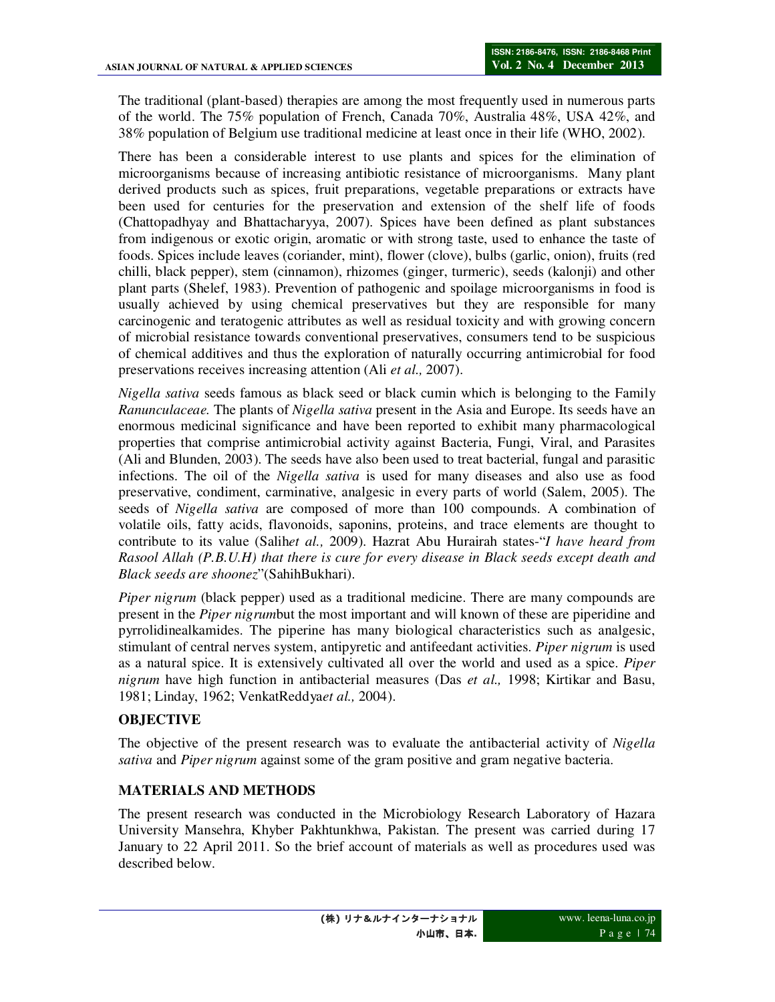The traditional (plant-based) therapies are among the most frequently used in numerous parts of the world. The 75% population of French, Canada 70%, Australia 48%, USA 42%, and 38% population of Belgium use traditional medicine at least once in their life (WHO, 2002).

There has been a considerable interest to use plants and spices for the elimination of microorganisms because of increasing antibiotic resistance of microorganisms. Many plant derived products such as spices, fruit preparations, vegetable preparations or extracts have been used for centuries for the preservation and extension of the shelf life of foods (Chattopadhyay and Bhattacharyya, 2007). Spices have been defined as plant substances from indigenous or exotic origin, aromatic or with strong taste, used to enhance the taste of foods. Spices include leaves (coriander, mint), flower (clove), bulbs (garlic, onion), fruits (red chilli, black pepper), stem (cinnamon), rhizomes (ginger, turmeric), seeds (kalonji) and other plant parts (Shelef, 1983). Prevention of pathogenic and spoilage microorganisms in food is usually achieved by using chemical preservatives but they are responsible for many carcinogenic and teratogenic attributes as well as residual toxicity and with growing concern of microbial resistance towards conventional preservatives, consumers tend to be suspicious of chemical additives and thus the exploration of naturally occurring antimicrobial for food preservations receives increasing attention (Ali *et al.,* 2007).

*Nigella sativa* seeds famous as black seed or black cumin which is belonging to the Family *Ranunculaceae.* The plants of *Nigella sativa* present in the Asia and Europe. Its seeds have an enormous medicinal significance and have been reported to exhibit many pharmacological properties that comprise antimicrobial activity against Bacteria, Fungi, Viral, and Parasites (Ali and Blunden, 2003). The seeds have also been used to treat bacterial, fungal and parasitic infections. The oil of the *Nigella sativa* is used for many diseases and also use as food preservative, condiment, carminative, analgesic in every parts of world (Salem, 2005). The seeds of *Nigella sativa* are composed of more than 100 compounds. A combination of volatile oils, fatty acids, flavonoids, saponins, proteins, and trace elements are thought to contribute to its value (Salih*et al.,* 2009). Hazrat Abu Hurairah states-"*I have heard from Rasool Allah (P.B.U.H) that there is cure for every disease in Black seeds except death and Black seeds are shoonez*"(SahihBukhari).

*Piper nigrum* (black pepper) used as a traditional medicine. There are many compounds are present in the *Piper nigrum*but the most important and will known of these are piperidine and pyrrolidinealkamides. The piperine has many biological characteristics such as analgesic, stimulant of central nerves system, antipyretic and antifeedant activities. *Piper nigrum* is used as a natural spice. It is extensively cultivated all over the world and used as a spice. *Piper nigrum* have high function in antibacterial measures (Das *et al.,* 1998; Kirtikar and Basu, 1981; Linday, 1962; VenkatReddya*et al.,* 2004).

# **OBJECTIVE**

The objective of the present research was to evaluate the antibacterial activity of *Nigella sativa* and *Piper nigrum* against some of the gram positive and gram negative bacteria.

# **MATERIALS AND METHODS**

The present research was conducted in the Microbiology Research Laboratory of Hazara University Mansehra, Khyber Pakhtunkhwa, Pakistan. The present was carried during 17 January to 22 April 2011. So the brief account of materials as well as procedures used was described below.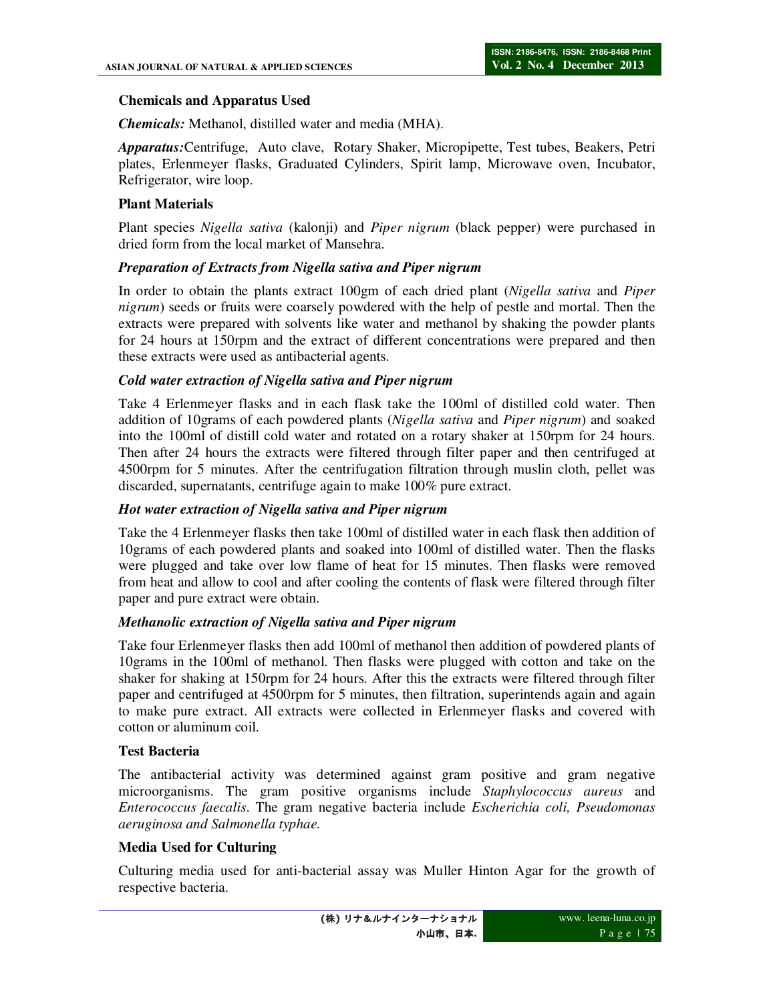### **Chemicals and Apparatus Used**

*Chemicals:* Methanol, distilled water and media (MHA).

*Apparatus:*Centrifuge, Auto clave, Rotary Shaker, Micropipette, Test tubes, Beakers, Petri plates, Erlenmeyer flasks, Graduated Cylinders, Spirit lamp, Microwave oven, Incubator, Refrigerator, wire loop.

### **Plant Materials**

Plant species *Nigella sativa* (kalonji) and *Piper nigrum* (black pepper) were purchased in dried form from the local market of Mansehra.

### *Preparation of Extracts from Nigella sativa and Piper nigrum*

In order to obtain the plants extract 100gm of each dried plant (*Nigella sativa* and *Piper nigrum*) seeds or fruits were coarsely powdered with the help of pestle and mortal. Then the extracts were prepared with solvents like water and methanol by shaking the powder plants for 24 hours at 150rpm and the extract of different concentrations were prepared and then these extracts were used as antibacterial agents.

#### *Cold water extraction of Nigella sativa and Piper nigrum*

Take 4 Erlenmeyer flasks and in each flask take the 100ml of distilled cold water. Then addition of 10grams of each powdered plants (*Nigella sativa* and *Piper nigrum*) and soaked into the 100ml of distill cold water and rotated on a rotary shaker at 150rpm for 24 hours. Then after 24 hours the extracts were filtered through filter paper and then centrifuged at 4500rpm for 5 minutes. After the centrifugation filtration through muslin cloth, pellet was discarded, supernatants, centrifuge again to make 100% pure extract.

#### *Hot water extraction of Nigella sativa and Piper nigrum*

Take the 4 Erlenmeyer flasks then take 100ml of distilled water in each flask then addition of 10grams of each powdered plants and soaked into 100ml of distilled water. Then the flasks were plugged and take over low flame of heat for 15 minutes. Then flasks were removed from heat and allow to cool and after cooling the contents of flask were filtered through filter paper and pure extract were obtain.

# *Methanolic extraction of Nigella sativa and Piper nigrum*

Take four Erlenmeyer flasks then add 100ml of methanol then addition of powdered plants of 10grams in the 100ml of methanol. Then flasks were plugged with cotton and take on the shaker for shaking at 150rpm for 24 hours. After this the extracts were filtered through filter paper and centrifuged at 4500rpm for 5 minutes, then filtration, superintends again and again to make pure extract. All extracts were collected in Erlenmeyer flasks and covered with cotton or aluminum coil.

# **Test Bacteria**

The antibacterial activity was determined against gram positive and gram negative microorganisms. The gram positive organisms include *Staphylococcus aureus* and *Enterococcus faecalis*. The gram negative bacteria include *Escherichia coli, Pseudomonas aeruginosa and Salmonella typhae.* 

#### **Media Used for Culturing**

Culturing media used for anti-bacterial assay was Muller Hinton Agar for the growth of respective bacteria.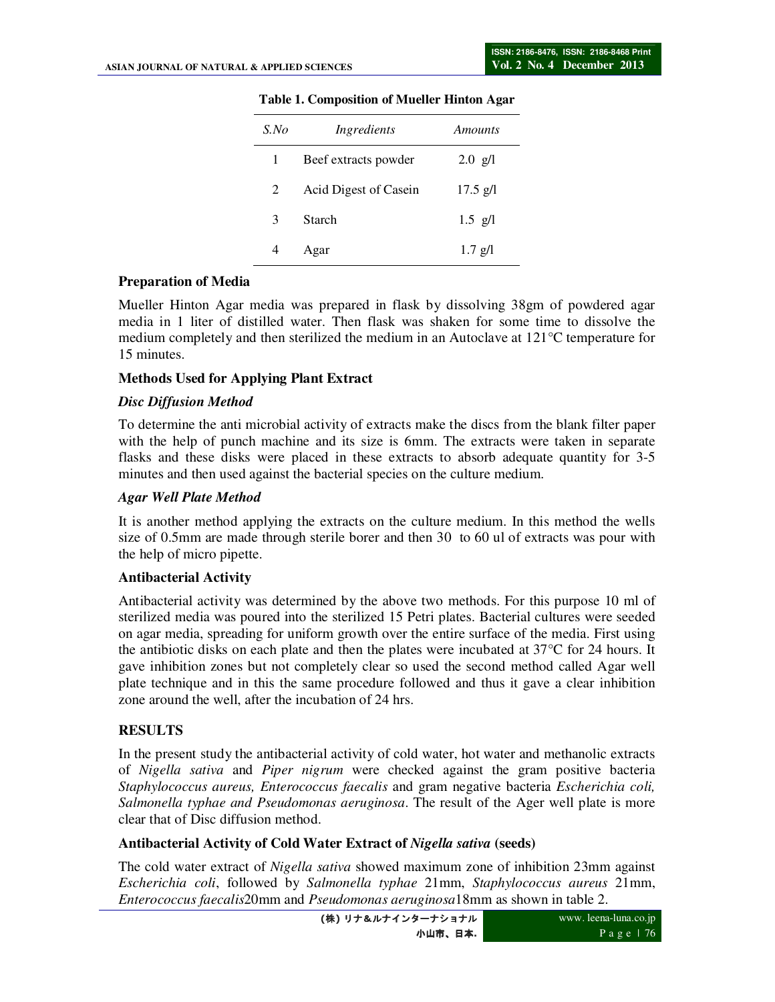| $S$ .No | Ingredients           | Amounts           |
|---------|-----------------------|-------------------|
| 1       | Beef extracts powder  | $2.0 \text{ g/l}$ |
| 2       | Acid Digest of Casein | $17.5$ g/l        |
| 3       | Starch                | $1.5$ g/l         |
|         | Agar                  | $1.7$ g/l         |

#### **Table 1. Composition of Mueller Hinton Agar**

### **Preparation of Media**

Mueller Hinton Agar media was prepared in flask by dissolving 38gm of powdered agar media in 1 liter of distilled water. Then flask was shaken for some time to dissolve the medium completely and then sterilized the medium in an Autoclave at 121°C temperature for 15 minutes.

#### **Methods Used for Applying Plant Extract**

#### *Disc Diffusion Method*

To determine the anti microbial activity of extracts make the discs from the blank filter paper with the help of punch machine and its size is 6mm. The extracts were taken in separate flasks and these disks were placed in these extracts to absorb adequate quantity for 3-5 minutes and then used against the bacterial species on the culture medium.

#### *Agar Well Plate Method*

It is another method applying the extracts on the culture medium. In this method the wells size of 0.5mm are made through sterile borer and then 30 to 60 ul of extracts was pour with the help of micro pipette.

#### **Antibacterial Activity**

Antibacterial activity was determined by the above two methods. For this purpose 10 ml of sterilized media was poured into the sterilized 15 Petri plates. Bacterial cultures were seeded on agar media, spreading for uniform growth over the entire surface of the media. First using the antibiotic disks on each plate and then the plates were incubated at  $37^{\circ}$ C for 24 hours. It gave inhibition zones but not completely clear so used the second method called Agar well plate technique and in this the same procedure followed and thus it gave a clear inhibition zone around the well, after the incubation of 24 hrs.

# **RESULTS**

In the present study the antibacterial activity of cold water, hot water and methanolic extracts of *Nigella sativa* and *Piper nigrum* were checked against the gram positive bacteria *Staphylococcus aureus, Enterococcus faecalis* and gram negative bacteria *Escherichia coli, Salmonella typhae and Pseudomonas aeruginosa*. The result of the Ager well plate is more clear that of Disc diffusion method.

#### **Antibacterial Activity of Cold Water Extract of** *Nigella sativa* **(seeds)**

The cold water extract of *Nigella sativa* showed maximum zone of inhibition 23mm against *Escherichia coli*, followed by *Salmonella typhae* 21mm, *Staphylococcus aureus* 21mm, *Enterococcus faecalis*20mm and *Pseudomonas aeruginosa*18mm as shown in table 2.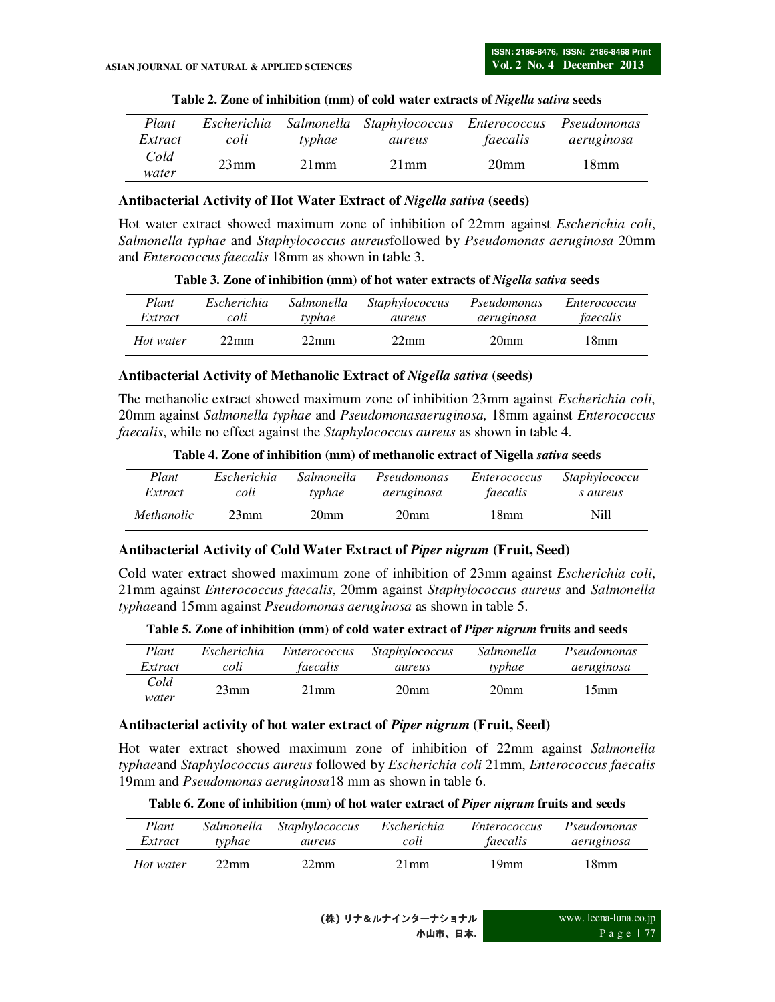| Plant         |      |         | Escherichia Salmonella Staphylococcus Enterococcus Pseudomonas |                  |            |
|---------------|------|---------|----------------------------------------------------------------|------------------|------------|
| Extract       | coli | typhae  | aureus                                                         | faecalis         | aeruginosa |
| Cold<br>water | 23mm | $21$ mm | $21$ mm                                                        | 20 <sub>mm</sub> | 18mm       |

| Table 2. Zone of inhibition (mm) of cold water extracts of Nigella sativa seeds |  |  |  |
|---------------------------------------------------------------------------------|--|--|--|
|---------------------------------------------------------------------------------|--|--|--|

#### **Antibacterial Activity of Hot Water Extract of** *Nigella sativa* **(seeds)**

Hot water extract showed maximum zone of inhibition of 22mm against *Escherichia coli*, *Salmonella typhae* and *Staphylococcus aureus*followed by *Pseudomonas aeruginosa* 20mm and *Enterococcus faecalis* 18mm as shown in table 3.

**Table 3. Zone of inhibition (mm) of hot water extracts of** *Nigella sativa* **seeds** 

| Plant     | Escherichia | Salmonella     | <i>Staphylococcus</i> | Pseudomonas      | <i>Enterococcus</i> |
|-----------|-------------|----------------|-----------------------|------------------|---------------------|
| Extract   | coli        | typhae         | aureus                | aeruginosa       | faecalis            |
| Hot water | 22mm        | $22 \text{mm}$ | $22 \text{mm}$        | 20 <sub>mm</sub> | 18mm.               |

#### **Antibacterial Activity of Methanolic Extract of** *Nigella sativa* **(seeds)**

The methanolic extract showed maximum zone of inhibition 23mm against *Escherichia coli*, 20mm against *Salmonella typhae* and *Pseudomonasaeruginosa,* 18mm against *Enterococcus faecalis*, while no effect against the *Staphylococcus aureus* as shown in table 4.

| Table 4. Zone of inhibition (mm) of methanolic extract of Nigella sativa seeds |  |
|--------------------------------------------------------------------------------|--|
|                                                                                |  |

| Plant             | Escherichia | Salmonella | Pseudomonas      | <i>Enterococcus</i> | <i>Staphylococcu</i> |
|-------------------|-------------|------------|------------------|---------------------|----------------------|
| Extract           | coli        | typhae     | aeruginosa       | faecalis            | s aureus             |
| <i>Methanolic</i> | 23mm        | 20mm       | 20 <sub>mm</sub> | 18mm                | Nill                 |

#### **Antibacterial Activity of Cold Water Extract of** *Piper nigrum* **(Fruit, Seed)**

Cold water extract showed maximum zone of inhibition of 23mm against *Escherichia coli*, 21mm against *Enterococcus faecalis*, 20mm against *Staphylococcus aureus* and *Salmonella typhae*and 15mm against *Pseudomonas aeruginosa* as shown in table 5.

| Plant         | Escherichia | Enterococcus       | <i>Staphylococcus</i> | Salmonella       | Pseudomonas |
|---------------|-------------|--------------------|-----------------------|------------------|-------------|
| Extract       | coli        | faecalis           | aureus                | typhae           | aeruginosa  |
| Cold<br>water | 23mm        | $21 \,\mathrm{mm}$ | 20 <sub>mm</sub>      | 20 <sub>mm</sub> | 15mm.       |

#### **Antibacterial activity of hot water extract of** *Piper nigrum* **(Fruit, Seed)**

Hot water extract showed maximum zone of inhibition of 22mm against *Salmonella typhae*and *Staphylococcus aureus* followed by *Escherichia coli* 21mm, *Enterococcus faecalis* 19mm and *Pseudomonas aeruginosa*18 mm as shown in table 6.

| Table 6. Zone of inhibition (mm) of hot water extract of <i>Piper nigrum</i> fruits and seeds |  |  |
|-----------------------------------------------------------------------------------------------|--|--|
|                                                                                               |  |  |

| Plant     | Salmonella       | <i>Staphylococcus</i> | Escherichia | <i>Enterococcus</i> | Pseudomonas |
|-----------|------------------|-----------------------|-------------|---------------------|-------------|
| Extract   | typhae           | aureus                | coli        | faecalis            | aeruginosa  |
| Hot water | 22 <sub>mm</sub> | $22 \text{mm}$        | $21$ mm     | 19 <sub>mm</sub>    | 18mm        |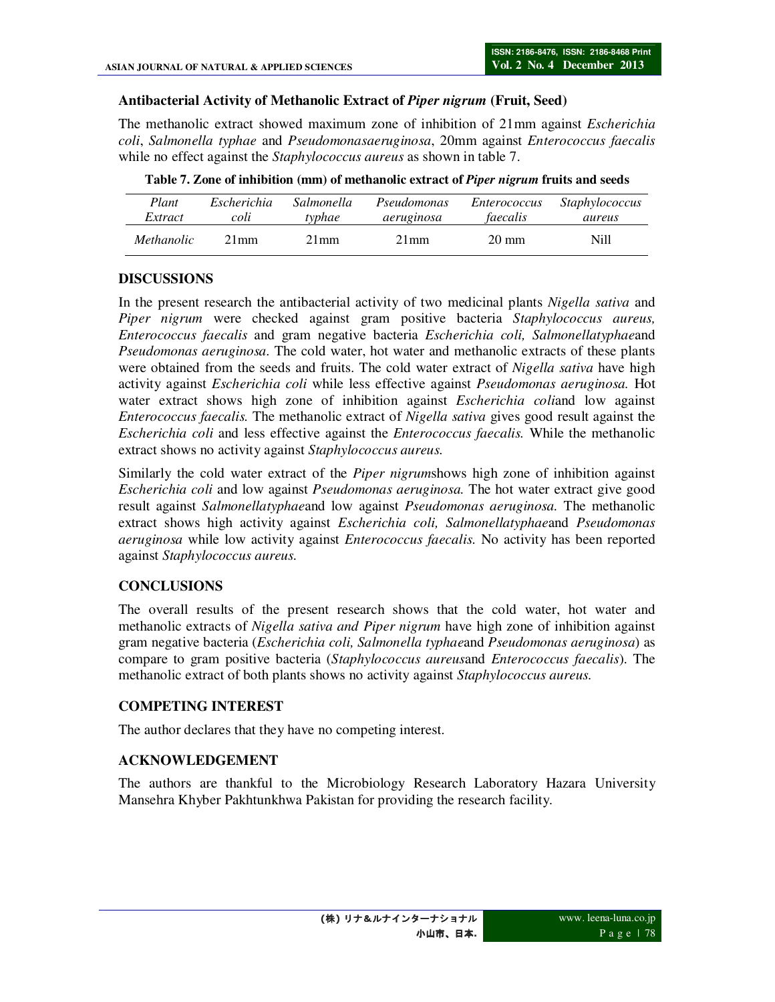### **Antibacterial Activity of Methanolic Extract of** *Piper nigrum* **(Fruit, Seed)**

The methanolic extract showed maximum zone of inhibition of 21mm against *Escherichia coli*, *Salmonella typhae* and *Pseudomonasaeruginosa*, 20mm against *Enterococcus faecalis* while no effect against the *Staphylococcus aureus* as shown in table 7.

| Plant             | <i>Escherichia</i> | Salmonella | Pseudomonas | <i>Enterococcus</i> | <i>Staphylococcus</i> |
|-------------------|--------------------|------------|-------------|---------------------|-----------------------|
| Extract           | coli               | typhae     | aeruginosa  | faecalis            | aureus                |
| <i>Methanolic</i> | $21$ mm            | $21$ mm    | $21$ mm     | $20 \text{ mm}$     | Nill                  |

**Table 7. Zone of inhibition (mm) of methanolic extract of** *Piper nigrum* **fruits and seeds** 

# **DISCUSSIONS**

In the present research the antibacterial activity of two medicinal plants *Nigella sativa* and *Piper nigrum* were checked against gram positive bacteria *Staphylococcus aureus, Enterococcus faecalis* and gram negative bacteria *Escherichia coli, Salmonellatyphae*and *Pseudomonas aeruginosa.* The cold water, hot water and methanolic extracts of these plants were obtained from the seeds and fruits. The cold water extract of *Nigella sativa* have high activity against *Escherichia coli* while less effective against *Pseudomonas aeruginosa.* Hot water extract shows high zone of inhibition against *Escherichia coli*and low against *Enterococcus faecalis.* The methanolic extract of *Nigella sativa* gives good result against the *Escherichia coli* and less effective against the *Enterococcus faecalis.* While the methanolic extract shows no activity against *Staphylococcus aureus.* 

Similarly the cold water extract of the *Piper nigrum*shows high zone of inhibition against *Escherichia coli* and low against *Pseudomonas aeruginosa.* The hot water extract give good result against *Salmonellatyphae*and low against *Pseudomonas aeruginosa.* The methanolic extract shows high activity against *Escherichia coli, Salmonellatyphae*and *Pseudomonas aeruginosa* while low activity against *Enterococcus faecalis.* No activity has been reported against *Staphylococcus aureus.* 

# **CONCLUSIONS**

The overall results of the present research shows that the cold water, hot water and methanolic extracts of *Nigella sativa and Piper nigrum* have high zone of inhibition against gram negative bacteria (*Escherichia coli, Salmonella typhae*and *Pseudomonas aeruginosa*) as compare to gram positive bacteria (*Staphylococcus aureus*and *Enterococcus faecalis*). The methanolic extract of both plants shows no activity against *Staphylococcus aureus.* 

# **COMPETING INTEREST**

The author declares that they have no competing interest.

#### **ACKNOWLEDGEMENT**

The authors are thankful to the Microbiology Research Laboratory Hazara University Mansehra Khyber Pakhtunkhwa Pakistan for providing the research facility.